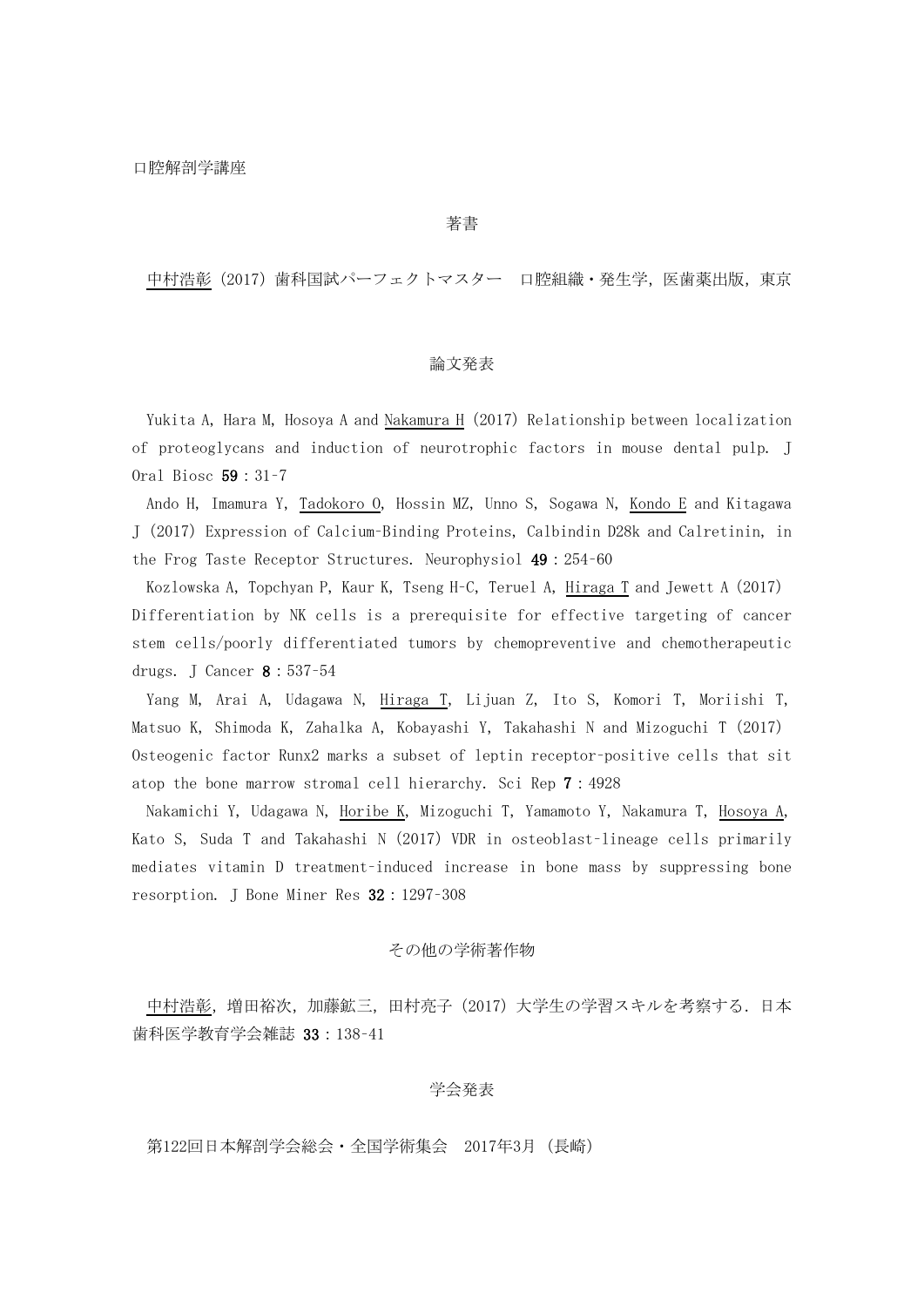著書

中村浩彰(2017)歯科国試パーフェクトマスター 口腔組織・発生学,医歯薬出版,東京

## 論文発表

Yukita A, Hara M, Hosoya A and Nakamura H (2017) Relationship between localization of proteoglycans and induction of neurotrophic factors in mouse dental pulp. J Oral Biosc 59:31–7

Ando H, Imamura Y, Tadokoro O, Hossin MZ, Unno S, Sogawa N, Kondo E and Kitagawa J(2017)Expression of Calcium–Binding Proteins, Calbindin D28k and Calretinin, in the Frog Taste Receptor Structures. Neurophysiol 49:254–60

Kozlowska A, Topchyan P, Kaur K, Tseng H–C, Teruel A, Hiraga T and Jewett A(2017) Differentiation by NK cells is a prerequisite for effective targeting of cancer stem cells/poorly differentiated tumors by chemopreventive and chemotherapeutic drugs. J Cancer 8:537–54

Yang M, Arai A, Udagawa N, Hiraga T, Lijuan Z, Ito S, Komori T, Moriishi T, Matsuo K, Shimoda K, Zahalka A, Kobayashi Y, Takahashi N and Mizoguchi T(2017) Osteogenic factor Runx2 marks a subset of leptin receptor–positive cells that sit atop the bone marrow stromal cell hierarchy. Sci Rep 7:4928

Nakamichi Y, Udagawa N, Horibe K, Mizoguchi T, Yamamoto Y, Nakamura T, Hosoya A, Kato S, Suda T and Takahashi N (2017) VDR in osteoblast-lineage cells primarily mediates vitamin D treatment–induced increase in bone mass by suppressing bone resorption. J Bone Miner Res 32:1297–308

## その他の学術著作物

中村浩彰,増田裕次,加藤鉱三,田村亮子(2017)大学生の学習スキルを考察する.日本 歯科医学教育学会雑誌 33:138–41

# 学会発表

第122回日本解剖学会総会・全国学術集会 2017年3月(長崎)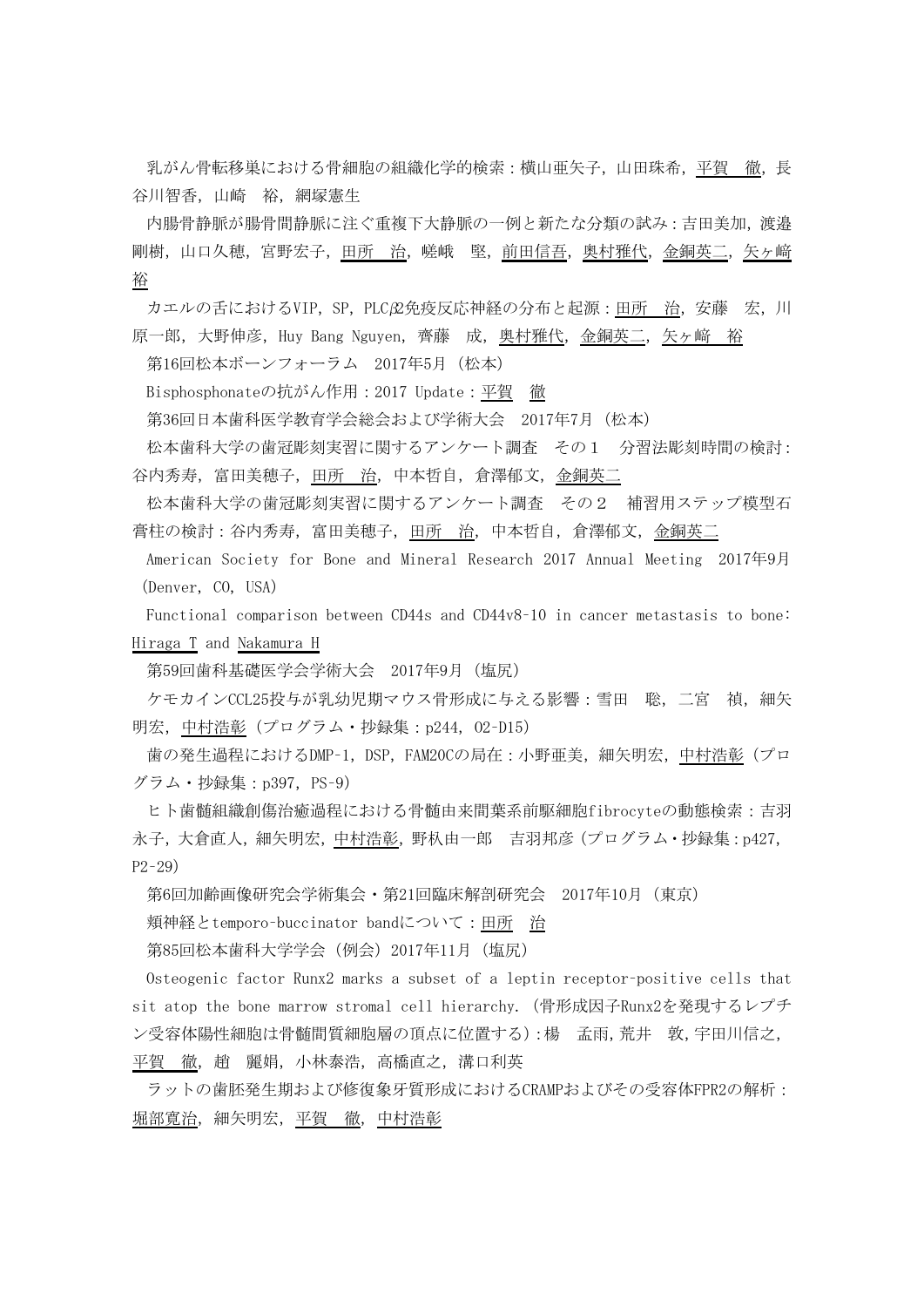乳がん骨転移巣における骨細胞の組織化学的検索:横山亜矢子,山田珠希,平賀 徹,長 谷川智香,山崎 裕,網塚憲生

内腸骨静脈が腸骨間静脈に注ぐ重複下大静脈の一例と新たな分類の試み:吉田美加,渡邉 剛樹,山口久穂,宮野宏子,田所 治,嵯峨 堅,前田信吾,奥村雅代,金銅英二,矢ヶ﨑 裕

カエルの舌におけるVIP,SP,PLCβ2免疫反応神経の分布と起源:田所 治,安藤 宏,川 原一郎,大野伸彦, Huy Bang Nguyen, 齊藤 成, 奥村雅代, 金銅英二, 矢ヶ﨑 裕

第16回松本ボーンフォーラム 2017年5月(松本)

Bisphosphonateの抗がん作用:2017 Update:平賀 徹

第36回日本歯科医学教育学会総会および学術大会 2017年7月(松本)

松本歯科大学の歯冠彫刻実習に関するアンケート調査 その1 分習法彫刻時間の検討: 谷内秀寿, 富田美穂子, 田所 治, 中本哲自, 倉澤郁文, 金銅英二

松本歯科大学の歯冠彫刻実習に関するアンケート調査 その2 補習用ステップ模型石 膏柱の検討:谷内秀寿,富田美穂子,田所 治,中本哲自,倉澤郁文,金銅英二

American Society for Bone and Mineral Research 2017 Annual Meeting 2017年9月 (Denver, CO, USA)

Functional comparison between CD44s and CD44v8–10 in cancer metastasis to bone: Hiraga T and Nakamura H

第59回歯科基礎医学会学術大会 2017年9月(塩尻)

ケモカインCCL25投与が乳幼児期マウス骨形成に与える影響:雪田 聡,二宮 禎,細矢 明宏, 中村浩彰 (プログラム·抄録集: p244, 02-D15)

歯の発生過程におけるDMP-1, DSP, FAM20Cの局在:小野亜美, 細矢明宏, 中村浩彰(プロ グラム·抄録集: p397, PS-9)

ヒト歯髄組織創傷治癒過程における骨髄由来間葉系前駆細胞fibrocyteの動態検索:吉羽 永子,大倉直人,細矢明宏,中村浩彰,野杁由一郎 吉羽邦彦(プログラム・抄録集:p427, P2–29)

第6回加齢画像研究会学術集会・第21回臨床解剖研究会 2017年10月(東京)

頬神経とtemporo–buccinator bandについて:田所 治

第85回松本歯科大学学会(例会)2017年11月(塩尻)

Osteogenic factor Runx2 marks a subset of a leptin receptor–positive cells that sit atop the bone marrow stromal cell hierarchy.(骨形成因子Runx2を発現するレプチ ン受容体陽性細胞は骨髄間質細胞層の頂点に位置する):楊 孟雨,荒井 敦,宇田川信之, 平賀 徹,趙 麗娟,小林泰浩,高橋直之,溝口利英

ラットの歯胚発生期および修復象牙質形成におけるCRAMPおよびその受容体FPR2の解析: 堀部寛治,細矢明宏,平賀 徹,中村浩彰